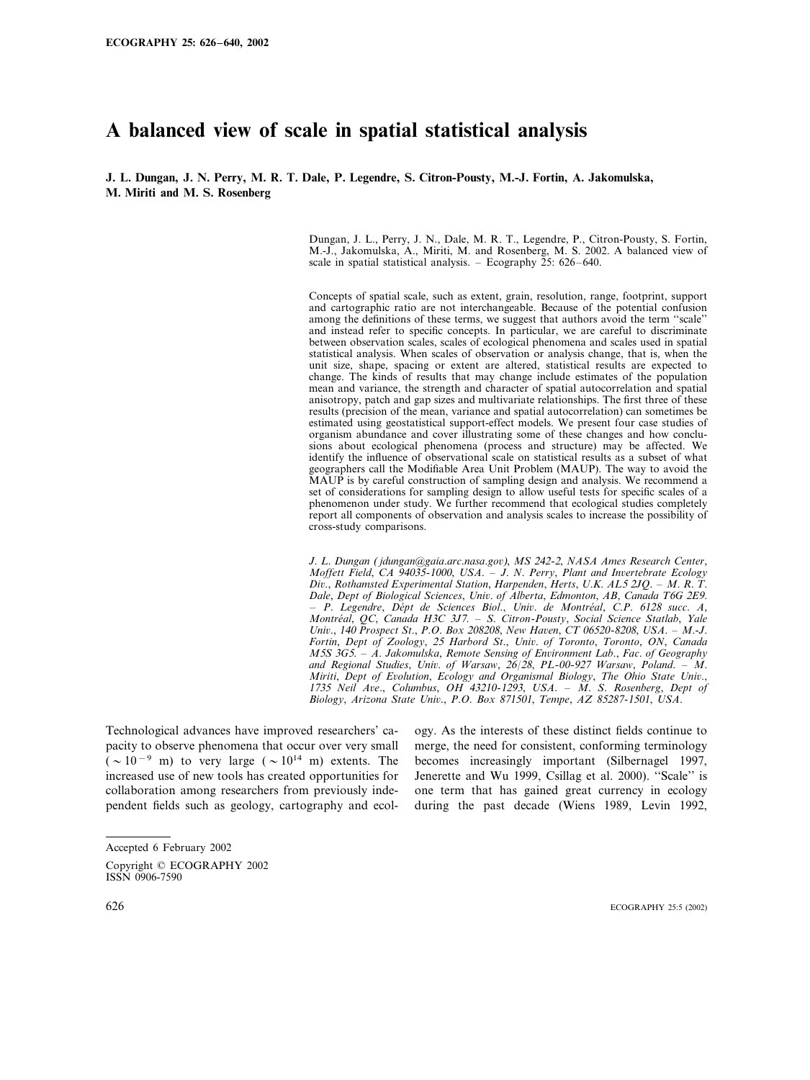# **A balanced view of scale in spatial statistical analysis**

**J. L. Dungan, J. N. Perry, M. R. T. Dale, P. Legendre, S. Citron-Pousty, M.-J. Fortin, A. Jakomulska, M. Miriti and M. S. Rosenberg**

> Dungan, J. L., Perry, J. N., Dale, M. R. T., Legendre, P., Citron-Pousty, S. Fortin, M.-J., Jakomulska, A., Miriti, M. and Rosenberg, M. S. 2002. A balanced view of scale in spatial statistical analysis. – Ecography 25: 626–640.

> Concepts of spatial scale, such as extent, grain, resolution, range, footprint, support and cartographic ratio are not interchangeable. Because of the potential confusion among the definitions of these terms, we suggest that authors avoid the term ''scale'' and instead refer to specific concepts. In particular, we are careful to discriminate between observation scales, scales of ecological phenomena and scales used in spatial statistical analysis. When scales of observation or analysis change, that is, when the unit size, shape, spacing or extent are altered, statistical results are expected to change. The kinds of results that may change include estimates of the population mean and variance, the strength and character of spatial autocorrelation and spatial anisotropy, patch and gap sizes and multivariate relationships. The first three of these results (precision of the mean, variance and spatial autocorrelation) can sometimes be estimated using geostatistical support-effect models. We present four case studies of organism abundance and cover illustrating some of these changes and how conclusions about ecological phenomena (process and structure) may be affected. We identify the influence of observational scale on statistical results as a subset of what geographers call the Modifiable Area Unit Problem (MAUP). The way to avoid the MAUP is by careful construction of sampling design and analysis. We recommend a set of considerations for sampling design to allow useful tests for specific scales of a phenomenon under study. We further recommend that ecological studies completely report all components of observation and analysis scales to increase the possibility of cross-study comparisons.

> *J*. *L*. *Dungan* ( *jdungan@gaia*.*arc*.*nasa*.*go*), *MS* <sup>242</sup>-2, *NASA Ames Research Center*, *Moffett Field*, *CA* <sup>94035</sup>-1000, *USA*. – *J*. *N*. *Perry*, *Plant and Inertebrate Ecology Di*., *Rothamsted Experimental Station*, *Harpenden*, *Herts*, *U*.*K*. *AL*<sup>5</sup> <sup>2</sup>*JQ*. – *M*. *R*. *T*. *Dale*, *Dept of Biological Sciences*, *Uni*. *of Alberta*, *Edmonton*, *AB*, *Canada T*6*G* <sup>2</sup>*E*9. – *P*. *Legendre*, *De´pt de Sciences Biol*., *Uni*. *de Montre´al*, *C*.*P*. <sup>6128</sup> *succ*. *A*, *Montre´al*, *QC*, *Canada H*3*C* 3*J*7. – *S*. *Citron*-*Pousty*, *Social Science Statlab*, *Yale Uni*., <sup>140</sup> *Prospect St*., *P*.*O*. *Box* <sup>208208</sup>, *New Haen*, *CT* <sup>06520</sup>-8208, *USA*. – *M*.-*J*. *Fortin*, *Dept of Zoology*, <sup>25</sup> *Harbord St*., *Uni*. *of Toronto*, *Toronto*, *ON*, *Canada M*5*S* <sup>3</sup>*G*5. – *A*. *Jakomulska*, *Remote Sensing of Enironment Lab*., *Fac*. *of Geography and Regional Studies*, *Uni*. *of Warsaw*, <sup>26</sup>/28, *PL*-00-<sup>927</sup> *Warsaw*, *Poland*. – *M*. *Miriti*, *Dept of Eolution*, *Ecology and Organismal Biology*, *The Ohio State Uni*., <sup>1735</sup> *Neil Ae*., *Columbus*, *OH* <sup>43210</sup>-1293, *USA*. – *M*. *S*. *Rosenberg*, *Dept of Biology*, *Arizona State Uni*., *P*.*O*. *Box* <sup>871501</sup>, *Tempe*, *AZ* <sup>85287</sup>-1501, *USA*.

Technological advances have improved researchers' capacity to observe phenomena that occur over very small  $(\sim 10^{-9}$  m) to very large ( $\sim 10^{14}$  m) extents. The increased use of new tools has created opportunities for collaboration among researchers from previously independent fields such as geology, cartography and ecol-

ogy. As the interests of these distinct fields continue to merge, the need for consistent, conforming terminology becomes increasingly important (Silbernagel 1997, Jenerette and Wu 1999, Csillag et al. 2000). ''Scale'' is one term that has gained great currency in ecology during the past decade (Wiens 1989, Levin 1992,

Accepted 6 February 2002 Copyright © ECOGRAPHY 2002 ISSN 0906-7590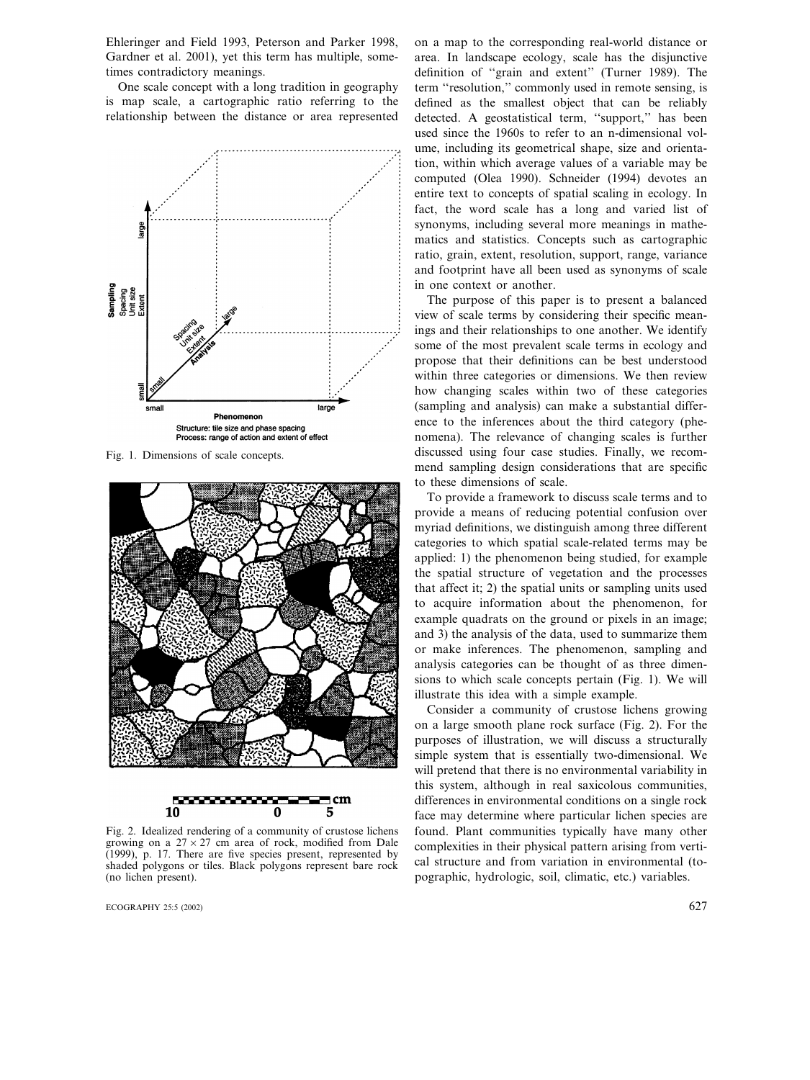Ehleringer and Field 1993, Peterson and Parker 1998, Gardner et al. 2001), yet this term has multiple, sometimes contradictory meanings.

One scale concept with a long tradition in geography is map scale, a cartographic ratio referring to the relationship between the distance or area represented



Fig. 1. Dimensions of scale concepts.





Fig. 2. Idealized rendering of a community of crustose lichens growing on a  $27 \times 27$  cm area of rock, modified from Dale (1999), p. 17. There are five species present, represented by shaded polygons or tiles. Black polygons represent bare rock (no lichen present).

 $ECOGRAPHY 25:5 (2002)$  627

on a map to the corresponding real-world distance or area. In landscape ecology, scale has the disjunctive definition of ''grain and extent'' (Turner 1989). The term ''resolution,'' commonly used in remote sensing, is defined as the smallest object that can be reliably detected. A geostatistical term, ''support,'' has been used since the 1960s to refer to an n-dimensional volume, including its geometrical shape, size and orientation, within which average values of a variable may be computed (Olea 1990). Schneider (1994) devotes an entire text to concepts of spatial scaling in ecology. In fact, the word scale has a long and varied list of synonyms, including several more meanings in mathematics and statistics. Concepts such as cartographic ratio, grain, extent, resolution, support, range, variance and footprint have all been used as synonyms of scale in one context or another.

The purpose of this paper is to present a balanced view of scale terms by considering their specific meanings and their relationships to one another. We identify some of the most prevalent scale terms in ecology and propose that their definitions can be best understood within three categories or dimensions. We then review how changing scales within two of these categories (sampling and analysis) can make a substantial difference to the inferences about the third category (phenomena). The relevance of changing scales is further discussed using four case studies. Finally, we recommend sampling design considerations that are specific to these dimensions of scale.

To provide a framework to discuss scale terms and to provide a means of reducing potential confusion over myriad definitions, we distinguish among three different categories to which spatial scale-related terms may be applied: 1) the phenomenon being studied, for example the spatial structure of vegetation and the processes that affect it; 2) the spatial units or sampling units used to acquire information about the phenomenon, for example quadrats on the ground or pixels in an image; and 3) the analysis of the data, used to summarize them or make inferences. The phenomenon, sampling and analysis categories can be thought of as three dimensions to which scale concepts pertain (Fig. 1). We will illustrate this idea with a simple example.

Consider a community of crustose lichens growing on a large smooth plane rock surface (Fig. 2). For the purposes of illustration, we will discuss a structurally simple system that is essentially two-dimensional. We will pretend that there is no environmental variability in this system, although in real saxicolous communities, differences in environmental conditions on a single rock face may determine where particular lichen species are found. Plant communities typically have many other complexities in their physical pattern arising from vertical structure and from variation in environmental (topographic, hydrologic, soil, climatic, etc.) variables.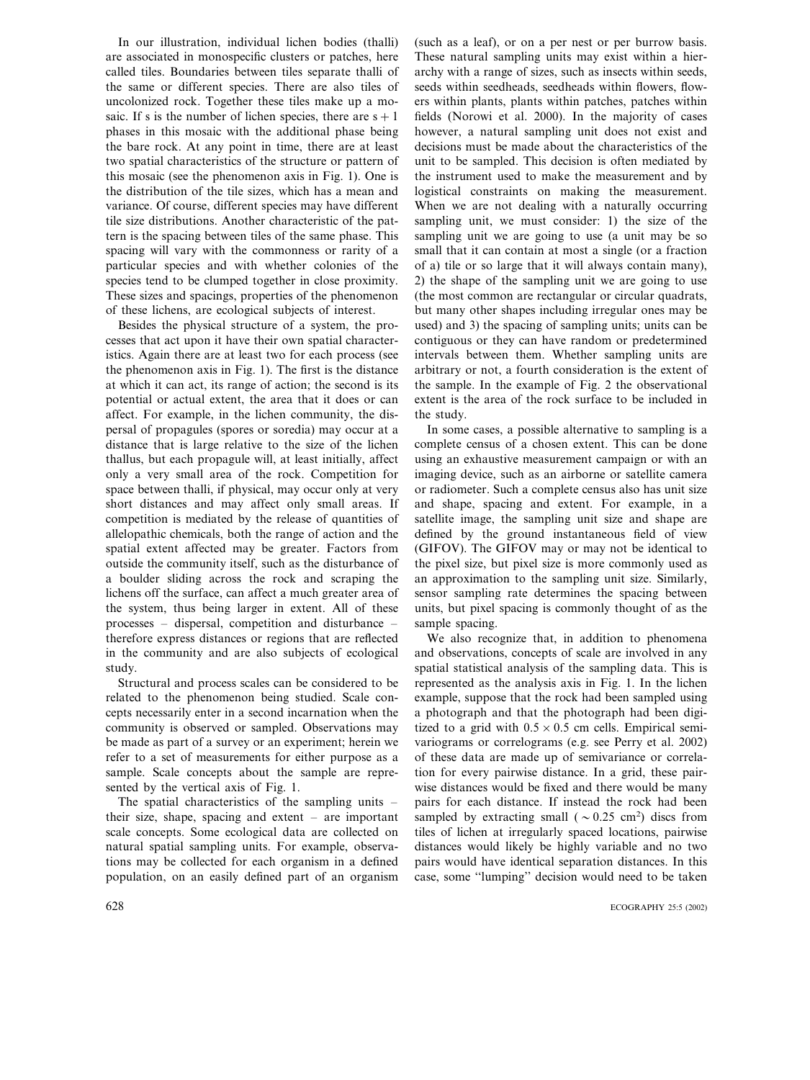In our illustration, individual lichen bodies (thalli) are associated in monospecific clusters or patches, here called tiles. Boundaries between tiles separate thalli of the same or different species. There are also tiles of uncolonized rock. Together these tiles make up a mosaic. If s is the number of lichen species, there are  $s+1$ phases in this mosaic with the additional phase being the bare rock. At any point in time, there are at least two spatial characteristics of the structure or pattern of this mosaic (see the phenomenon axis in Fig. 1). One is the distribution of the tile sizes, which has a mean and variance. Of course, different species may have different tile size distributions. Another characteristic of the pattern is the spacing between tiles of the same phase. This spacing will vary with the commonness or rarity of a particular species and with whether colonies of the species tend to be clumped together in close proximity. These sizes and spacings, properties of the phenomenon of these lichens, are ecological subjects of interest.

Besides the physical structure of a system, the processes that act upon it have their own spatial characteristics. Again there are at least two for each process (see the phenomenon axis in Fig. 1). The first is the distance at which it can act, its range of action; the second is its potential or actual extent, the area that it does or can affect. For example, in the lichen community, the dispersal of propagules (spores or soredia) may occur at a distance that is large relative to the size of the lichen thallus, but each propagule will, at least initially, affect only a very small area of the rock. Competition for space between thalli, if physical, may occur only at very short distances and may affect only small areas. If competition is mediated by the release of quantities of allelopathic chemicals, both the range of action and the spatial extent affected may be greater. Factors from outside the community itself, such as the disturbance of a boulder sliding across the rock and scraping the lichens off the surface, can affect a much greater area of the system, thus being larger in extent. All of these processes – dispersal, competition and disturbance – therefore express distances or regions that are reflected in the community and are also subjects of ecological study.

Structural and process scales can be considered to be related to the phenomenon being studied. Scale concepts necessarily enter in a second incarnation when the community is observed or sampled. Observations may be made as part of a survey or an experiment; herein we refer to a set of measurements for either purpose as a sample. Scale concepts about the sample are represented by the vertical axis of Fig. 1.

The spatial characteristics of the sampling units – their size, shape, spacing and extent – are important scale concepts. Some ecological data are collected on natural spatial sampling units. For example, observations may be collected for each organism in a defined population, on an easily defined part of an organism

(such as a leaf), or on a per nest or per burrow basis. These natural sampling units may exist within a hierarchy with a range of sizes, such as insects within seeds, seeds within seedheads, seedheads within flowers, flowers within plants, plants within patches, patches within fields (Norowi et al. 2000). In the majority of cases however, a natural sampling unit does not exist and decisions must be made about the characteristics of the unit to be sampled. This decision is often mediated by the instrument used to make the measurement and by logistical constraints on making the measurement. When we are not dealing with a naturally occurring sampling unit, we must consider: 1) the size of the sampling unit we are going to use (a unit may be so small that it can contain at most a single (or a fraction of a) tile or so large that it will always contain many), 2) the shape of the sampling unit we are going to use (the most common are rectangular or circular quadrats, but many other shapes including irregular ones may be used) and 3) the spacing of sampling units; units can be contiguous or they can have random or predetermined intervals between them. Whether sampling units are arbitrary or not, a fourth consideration is the extent of the sample. In the example of Fig. 2 the observational extent is the area of the rock surface to be included in the study.

In some cases, a possible alternative to sampling is a complete census of a chosen extent. This can be done using an exhaustive measurement campaign or with an imaging device, such as an airborne or satellite camera or radiometer. Such a complete census also has unit size and shape, spacing and extent. For example, in a satellite image, the sampling unit size and shape are defined by the ground instantaneous field of view (GIFOV). The GIFOV may or may not be identical to the pixel size, but pixel size is more commonly used as an approximation to the sampling unit size. Similarly, sensor sampling rate determines the spacing between units, but pixel spacing is commonly thought of as the sample spacing.

We also recognize that, in addition to phenomena and observations, concepts of scale are involved in any spatial statistical analysis of the sampling data. This is represented as the analysis axis in Fig. 1. In the lichen example, suppose that the rock had been sampled using a photograph and that the photograph had been digitized to a grid with  $0.5 \times 0.5$  cm cells. Empirical semivariograms or correlograms (e.g. see Perry et al. 2002) of these data are made up of semivariance or correlation for every pairwise distance. In a grid, these pairwise distances would be fixed and there would be many pairs for each distance. If instead the rock had been sampled by extracting small ( $\sim 0.25$  cm<sup>2</sup>) discs from tiles of lichen at irregularly spaced locations, pairwise distances would likely be highly variable and no two pairs would have identical separation distances. In this case, some ''lumping'' decision would need to be taken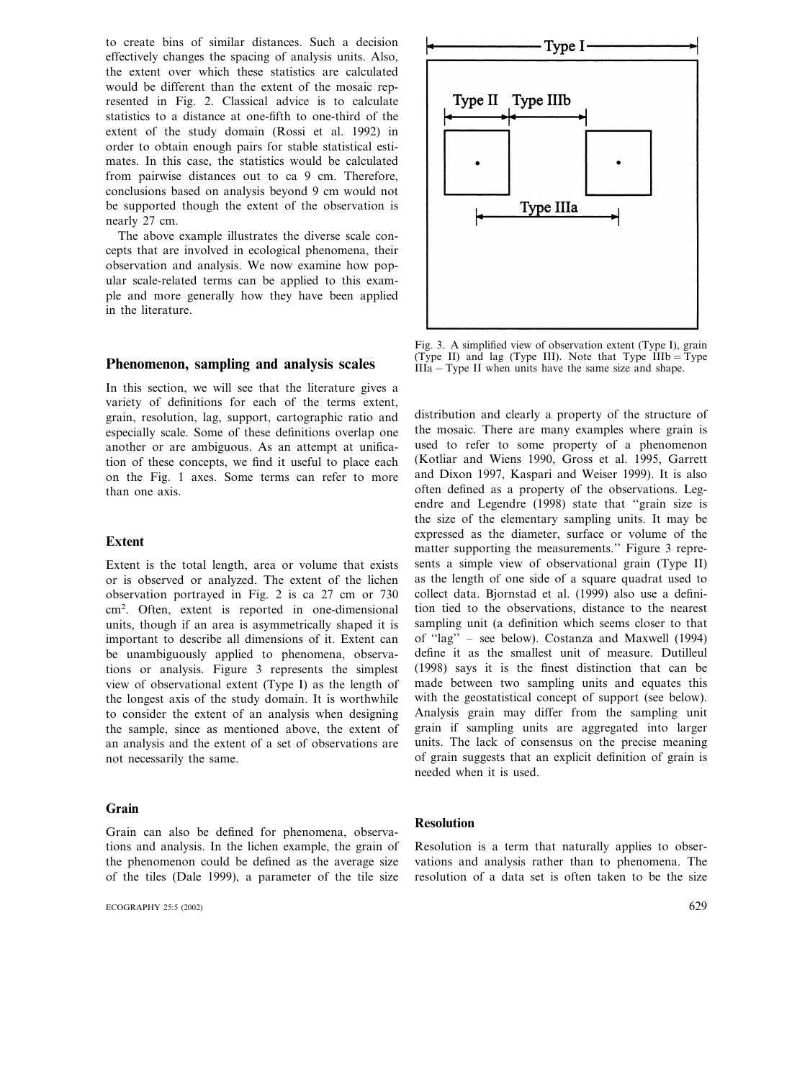to create bins of similar distances. Such a decision effectively changes the spacing of analysis units. Also, the extent over which these statistics are calculated would be different than the extent of the mosaic represented in Fig. 2. Classical advice is to calculate statistics to a distance at one-fifth to one-third of the extent of the study domain (Rossi et al. 1992) in order to obtain enough pairs for stable statistical estimates. In this case, the statistics would be calculated from pairwise distances out to ca 9 cm. Therefore, conclusions based on analysis beyond 9 cm would not be supported though the extent of the observation is nearly 27 cm.

The above example illustrates the diverse scale concepts that are involved in ecological phenomena, their observation and analysis. We now examine how popular scale-related terms can be applied to this example and more generally how they have been applied in the literature.

#### **Phenomenon, sampling and analysis scales**

In this section, we will see that the literature gives a variety of definitions for each of the terms extent, grain, resolution, lag, support, cartographic ratio and especially scale. Some of these definitions overlap one another or are ambiguous. As an attempt at unification of these concepts, we find it useful to place each on the Fig. 1 axes. Some terms can refer to more than one axis.

# **Extent**

Extent is the total length, area or volume that exists or is observed or analyzed. The extent of the lichen observation portrayed in Fig. 2 is ca 27 cm or 730 cm2 . Often, extent is reported in one-dimensional units, though if an area is asymmetrically shaped it is important to describe all dimensions of it. Extent can be unambiguously applied to phenomena, observations or analysis. Figure 3 represents the simplest view of observational extent (Type I) as the length of the longest axis of the study domain. It is worthwhile to consider the extent of an analysis when designing the sample, since as mentioned above, the extent of an analysis and the extent of a set of observations are not necessarily the same.

## **Grain**

Grain can also be defined for phenomena, observations and analysis. In the lichen example, the grain of the phenomenon could be defined as the average size of the tiles (Dale 1999), a parameter of the tile size

 $ECOGRAPHY 25:5 (2002)$  629



Fig. 3. A simplified view of observation extent (Type I), grain (Type II) and lag (Type III). Note that Type  $\overrightarrow{III}$   $\overrightarrow{III}$   $\overrightarrow{=}$  Type IIIa−Type II when units have the same size and shape.

distribution and clearly a property of the structure of the mosaic. There are many examples where grain is used to refer to some property of a phenomenon (Kotliar and Wiens 1990, Gross et al. 1995, Garrett and Dixon 1997, Kaspari and Weiser 1999). It is also often defined as a property of the observations. Legendre and Legendre (1998) state that ''grain size is the size of the elementary sampling units. It may be expressed as the diameter, surface or volume of the matter supporting the measurements.'' Figure 3 represents a simple view of observational grain (Type II) as the length of one side of a square quadrat used to collect data. Bjornstad et al. (1999) also use a definition tied to the observations, distance to the nearest sampling unit (a definition which seems closer to that of ''lag'' – see below). Costanza and Maxwell (1994) define it as the smallest unit of measure. Dutilleul (1998) says it is the finest distinction that can be made between two sampling units and equates this with the geostatistical concept of support (see below). Analysis grain may differ from the sampling unit grain if sampling units are aggregated into larger units. The lack of consensus on the precise meaning of grain suggests that an explicit definition of grain is needed when it is used.

#### **Resolution**

Resolution is a term that naturally applies to observations and analysis rather than to phenomena. The resolution of a data set is often taken to be the size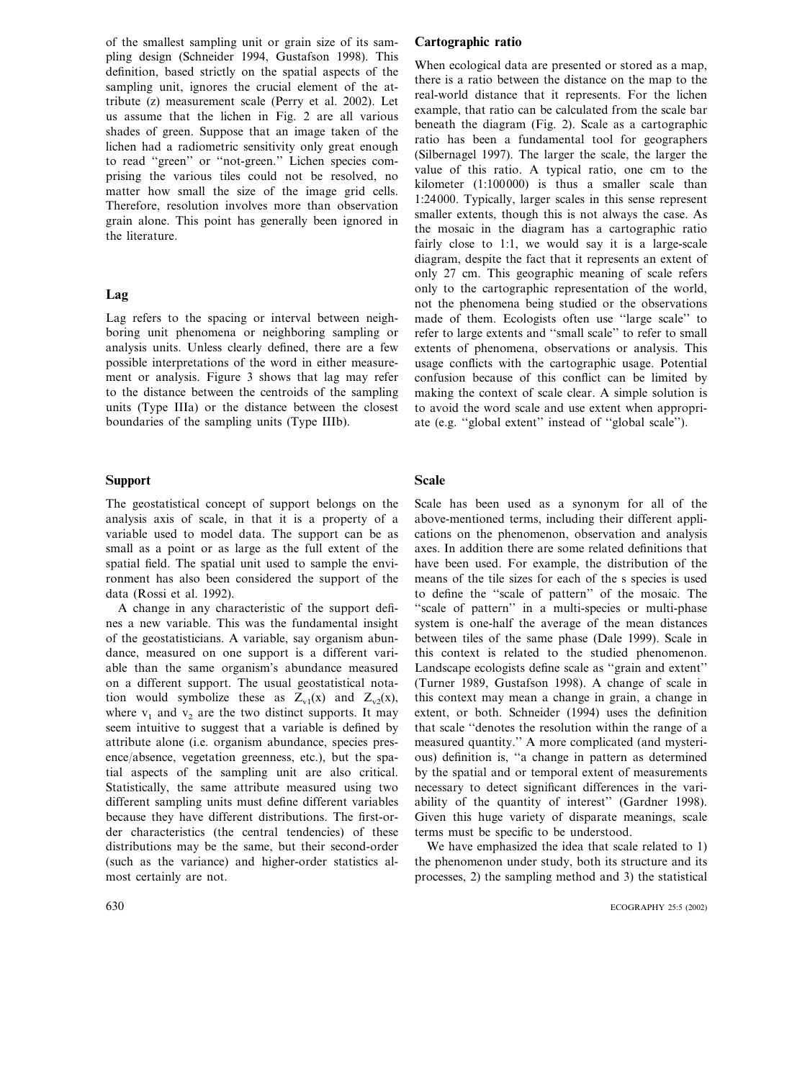of the smallest sampling unit or grain size of its sampling design (Schneider 1994, Gustafson 1998). This definition, based strictly on the spatial aspects of the sampling unit, ignores the crucial element of the attribute (z) measurement scale (Perry et al. 2002). Let us assume that the lichen in Fig. 2 are all various shades of green. Suppose that an image taken of the lichen had a radiometric sensitivity only great enough to read ''green'' or ''not-green.'' Lichen species comprising the various tiles could not be resolved, no matter how small the size of the image grid cells. Therefore, resolution involves more than observation grain alone. This point has generally been ignored in the literature.

#### **Lag**

Lag refers to the spacing or interval between neighboring unit phenomena or neighboring sampling or analysis units. Unless clearly defined, there are a few possible interpretations of the word in either measurement or analysis. Figure 3 shows that lag may refer to the distance between the centroids of the sampling units (Type IIIa) or the distance between the closest boundaries of the sampling units (Type IIIb).

#### **Support**

The geostatistical concept of support belongs on the analysis axis of scale, in that it is a property of a variable used to model data. The support can be as small as a point or as large as the full extent of the spatial field. The spatial unit used to sample the environment has also been considered the support of the data (Rossi et al. 1992).

A change in any characteristic of the support defines a new variable. This was the fundamental insight of the geostatisticians. A variable, say organism abundance, measured on one support is a different variable than the same organism's abundance measured on a different support. The usual geostatistical notation would symbolize these as  $Z_{\nu1}(x)$  and  $Z_{\nu2}(x)$ , where  $v_1$  and  $v_2$  are the two distinct supports. It may seem intuitive to suggest that a variable is defined by attribute alone (i.e. organism abundance, species presence/absence, vegetation greenness, etc.), but the spatial aspects of the sampling unit are also critical. Statistically, the same attribute measured using two different sampling units must define different variables because they have different distributions. The first-order characteristics (the central tendencies) of these distributions may be the same, but their second-order (such as the variance) and higher-order statistics almost certainly are not.

#### **Cartographic ratio**

When ecological data are presented or stored as a map. there is a ratio between the distance on the map to the real-world distance that it represents. For the lichen example, that ratio can be calculated from the scale bar beneath the diagram (Fig. 2). Scale as a cartographic ratio has been a fundamental tool for geographers (Silbernagel 1997). The larger the scale, the larger the value of this ratio. A typical ratio, one cm to the kilometer (1:100000) is thus a smaller scale than 1:24000. Typically, larger scales in this sense represent smaller extents, though this is not always the case. As the mosaic in the diagram has a cartographic ratio fairly close to 1:1, we would say it is a large-scale diagram, despite the fact that it represents an extent of only 27 cm. This geographic meaning of scale refers only to the cartographic representation of the world, not the phenomena being studied or the observations made of them. Ecologists often use ''large scale'' to refer to large extents and ''small scale'' to refer to small extents of phenomena, observations or analysis. This usage conflicts with the cartographic usage. Potential confusion because of this conflict can be limited by making the context of scale clear. A simple solution is to avoid the word scale and use extent when appropriate (e.g. ''global extent'' instead of ''global scale'').

# **Scale**

Scale has been used as a synonym for all of the above-mentioned terms, including their different applications on the phenomenon, observation and analysis axes. In addition there are some related definitions that have been used. For example, the distribution of the means of the tile sizes for each of the s species is used to define the ''scale of pattern'' of the mosaic. The "scale of pattern" in a multi-species or multi-phase system is one-half the average of the mean distances between tiles of the same phase (Dale 1999). Scale in this context is related to the studied phenomenon. Landscape ecologists define scale as ''grain and extent'' (Turner 1989, Gustafson 1998). A change of scale in this context may mean a change in grain, a change in extent, or both. Schneider (1994) uses the definition that scale ''denotes the resolution within the range of a measured quantity.'' A more complicated (and mysterious) definition is, ''a change in pattern as determined by the spatial and or temporal extent of measurements necessary to detect significant differences in the variability of the quantity of interest'' (Gardner 1998). Given this huge variety of disparate meanings, scale terms must be specific to be understood.

We have emphasized the idea that scale related to 1) the phenomenon under study, both its structure and its processes, 2) the sampling method and 3) the statistical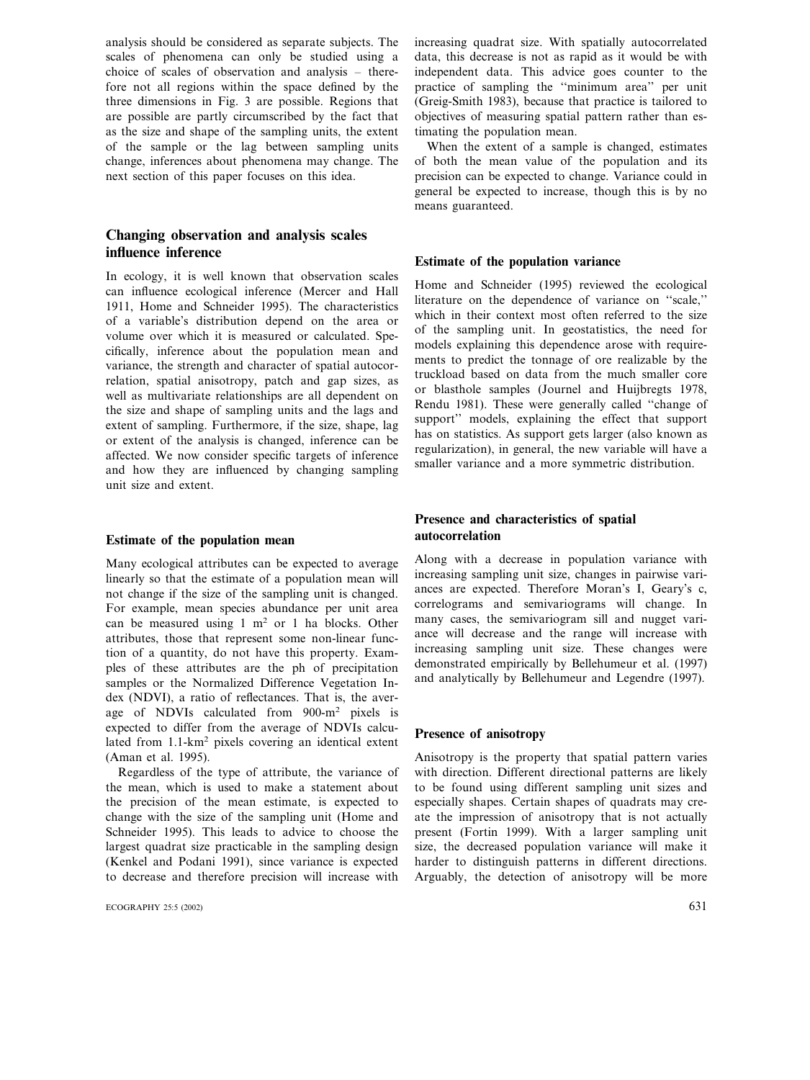analysis should be considered as separate subjects. The scales of phenomena can only be studied using a choice of scales of observation and analysis – therefore not all regions within the space defined by the three dimensions in Fig. 3 are possible. Regions that are possible are partly circumscribed by the fact that as the size and shape of the sampling units, the extent of the sample or the lag between sampling units change, inferences about phenomena may change. The next section of this paper focuses on this idea.

# **Changing observation and analysis scales influence inference**

In ecology, it is well known that observation scales can influence ecological inference (Mercer and Hall 1911, Home and Schneider 1995). The characteristics of a variable's distribution depend on the area or volume over which it is measured or calculated. Specifically, inference about the population mean and variance, the strength and character of spatial autocorrelation, spatial anisotropy, patch and gap sizes, as well as multivariate relationships are all dependent on the size and shape of sampling units and the lags and extent of sampling. Furthermore, if the size, shape, lag or extent of the analysis is changed, inference can be affected. We now consider specific targets of inference and how they are influenced by changing sampling unit size and extent.

# **Estimate of the population mean**

Many ecological attributes can be expected to average linearly so that the estimate of a population mean will not change if the size of the sampling unit is changed. For example, mean species abundance per unit area can be measured using  $1 \text{ m}^2$  or  $1 \text{ ha blocks. Other}$ attributes, those that represent some non-linear function of a quantity, do not have this property. Examples of these attributes are the ph of precipitation samples or the Normalized Difference Vegetation Index (NDVI), a ratio of reflectances. That is, the average of NDVIs calculated from 900-m<sup>2</sup> pixels is expected to differ from the average of NDVIs calculated from 1.1-km<sup>2</sup> pixels covering an identical extent (Aman et al. 1995).

Regardless of the type of attribute, the variance of the mean, which is used to make a statement about the precision of the mean estimate, is expected to change with the size of the sampling unit (Home and Schneider 1995). This leads to advice to choose the largest quadrat size practicable in the sampling design (Kenkel and Podani 1991), since variance is expected to decrease and therefore precision will increase with

increasing quadrat size. With spatially autocorrelated data, this decrease is not as rapid as it would be with independent data. This advice goes counter to the practice of sampling the ''minimum area'' per unit (Greig-Smith 1983), because that practice is tailored to objectives of measuring spatial pattern rather than estimating the population mean.

When the extent of a sample is changed, estimates of both the mean value of the population and its precision can be expected to change. Variance could in general be expected to increase, though this is by no means guaranteed.

#### **Estimate of the population variance**

Home and Schneider (1995) reviewed the ecological literature on the dependence of variance on ''scale,'' which in their context most often referred to the size of the sampling unit. In geostatistics, the need for models explaining this dependence arose with requirements to predict the tonnage of ore realizable by the truckload based on data from the much smaller core or blasthole samples (Journel and Huijbregts 1978, Rendu 1981). These were generally called ''change of support'' models, explaining the effect that support has on statistics. As support gets larger (also known as regularization), in general, the new variable will have a smaller variance and a more symmetric distribution.

# **Presence and characteristics of spatial autocorrelation**

Along with a decrease in population variance with increasing sampling unit size, changes in pairwise variances are expected. Therefore Moran's I, Geary's c, correlograms and semivariograms will change. In many cases, the semivariogram sill and nugget variance will decrease and the range will increase with increasing sampling unit size. These changes were demonstrated empirically by Bellehumeur et al. (1997) and analytically by Bellehumeur and Legendre (1997).

# **Presence of anisotropy**

Anisotropy is the property that spatial pattern varies with direction. Different directional patterns are likely to be found using different sampling unit sizes and especially shapes. Certain shapes of quadrats may create the impression of anisotropy that is not actually present (Fortin 1999). With a larger sampling unit size, the decreased population variance will make it harder to distinguish patterns in different directions. Arguably, the detection of anisotropy will be more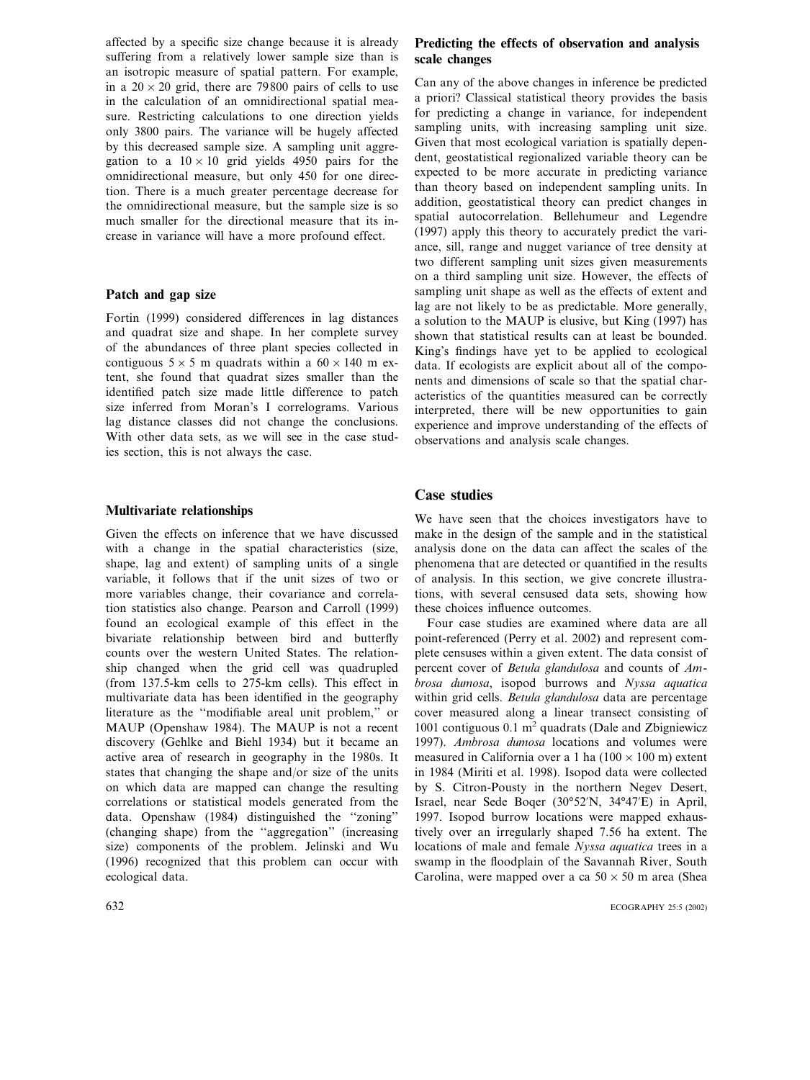affected by a specific size change because it is already suffering from a relatively lower sample size than is an isotropic measure of spatial pattern. For example, in a  $20 \times 20$  grid, there are 79800 pairs of cells to use in the calculation of an omnidirectional spatial measure. Restricting calculations to one direction yields only 3800 pairs. The variance will be hugely affected by this decreased sample size. A sampling unit aggregation to a  $10 \times 10$  grid yields 4950 pairs for the omnidirectional measure, but only 450 for one direction. There is a much greater percentage decrease for the omnidirectional measure, but the sample size is so much smaller for the directional measure that its increase in variance will have a more profound effect.

# **Patch and gap size**

Fortin (1999) considered differences in lag distances and quadrat size and shape. In her complete survey of the abundances of three plant species collected in contiguous  $5 \times 5$  m quadrats within a  $60 \times 140$  m extent, she found that quadrat sizes smaller than the identified patch size made little difference to patch size inferred from Moran's I correlograms. Various lag distance classes did not change the conclusions. With other data sets, as we will see in the case studies section, this is not always the case.

#### **Multivariate relationships**

Given the effects on inference that we have discussed with a change in the spatial characteristics (size, shape, lag and extent) of sampling units of a single variable, it follows that if the unit sizes of two or more variables change, their covariance and correlation statistics also change. Pearson and Carroll (1999) found an ecological example of this effect in the bivariate relationship between bird and butterfly counts over the western United States. The relationship changed when the grid cell was quadrupled (from 137.5-km cells to 275-km cells). This effect in multivariate data has been identified in the geography literature as the ''modifiable areal unit problem,'' or MAUP (Openshaw 1984). The MAUP is not a recent discovery (Gehlke and Biehl 1934) but it became an active area of research in geography in the 1980s. It states that changing the shape and/or size of the units on which data are mapped can change the resulting correlations or statistical models generated from the data. Openshaw (1984) distinguished the ''zoning'' (changing shape) from the ''aggregation'' (increasing size) components of the problem. Jelinski and Wu (1996) recognized that this problem can occur with ecological data.

# **Predicting the effects of observation and analysis scale changes**

Can any of the above changes in inference be predicted a priori? Classical statistical theory provides the basis for predicting a change in variance, for independent sampling units, with increasing sampling unit size. Given that most ecological variation is spatially dependent, geostatistical regionalized variable theory can be expected to be more accurate in predicting variance than theory based on independent sampling units. In addition, geostatistical theory can predict changes in spatial autocorrelation. Bellehumeur and Legendre (1997) apply this theory to accurately predict the variance, sill, range and nugget variance of tree density at two different sampling unit sizes given measurements on a third sampling unit size. However, the effects of sampling unit shape as well as the effects of extent and lag are not likely to be as predictable. More generally, a solution to the MAUP is elusive, but King (1997) has shown that statistical results can at least be bounded. King's findings have yet to be applied to ecological data. If ecologists are explicit about all of the components and dimensions of scale so that the spatial characteristics of the quantities measured can be correctly interpreted, there will be new opportunities to gain experience and improve understanding of the effects of observations and analysis scale changes.

# **Case studies**

We have seen that the choices investigators have to make in the design of the sample and in the statistical analysis done on the data can affect the scales of the phenomena that are detected or quantified in the results of analysis. In this section, we give concrete illustrations, with several censused data sets, showing how these choices influence outcomes.

Four case studies are examined where data are all point-referenced (Perry et al. 2002) and represent complete censuses within a given extent. The data consist of percent cover of *Betula glandulosa* and counts of *Ambrosa dumosa*, isopod burrows and *Nyssa aquatica* within grid cells. *Betula glandulosa* data are percentage cover measured along a linear transect consisting of 1001 contiguous  $0.1 \text{ m}^2$  quadrats (Dale and Zbigniewicz 1997). *Ambrosa dumosa* locations and volumes were measured in California over a 1 ha ( $100 \times 100$  m) extent in 1984 (Miriti et al. 1998). Isopod data were collected by S. Citron-Pousty in the northern Negev Desert, Israel, near Sede Boqer (30°52′N, 34°47′E) in April, 1997. Isopod burrow locations were mapped exhaustively over an irregularly shaped 7.56 ha extent. The locations of male and female *Nyssa aquatica* trees in a swamp in the floodplain of the Savannah River, South Carolina, were mapped over a ca  $50 \times 50$  m area (Shea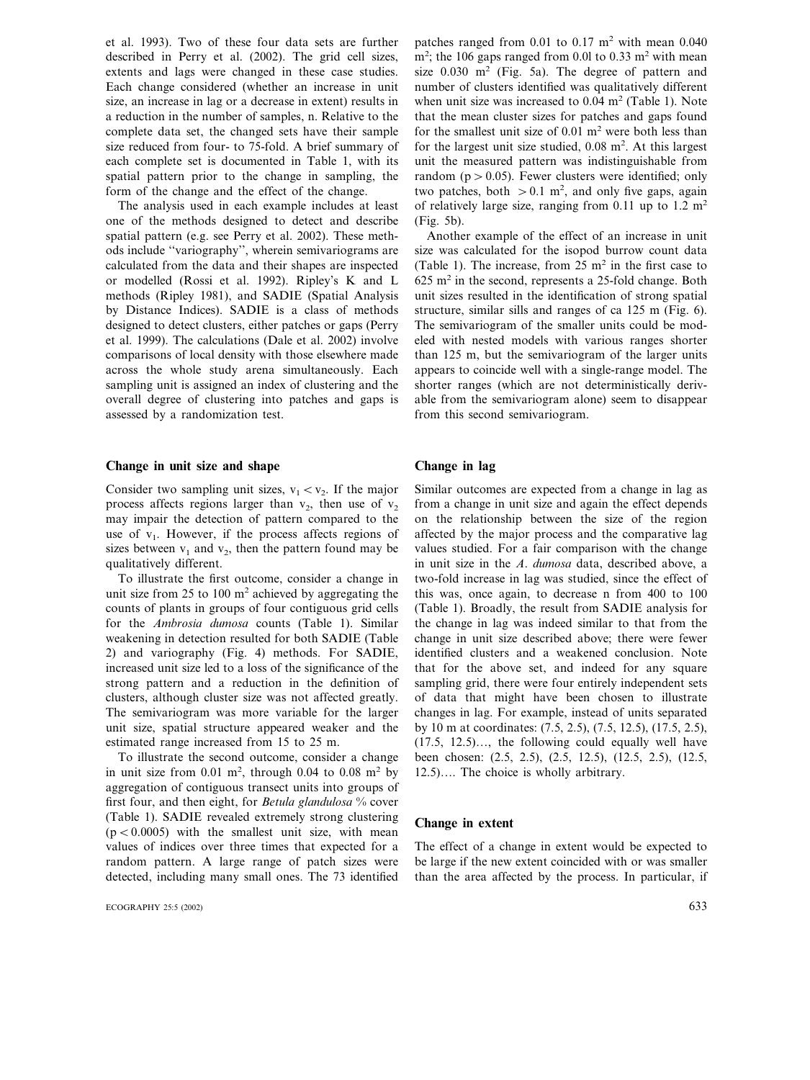et al. 1993). Two of these four data sets are further described in Perry et al. (2002). The grid cell sizes, extents and lags were changed in these case studies. Each change considered (whether an increase in unit size, an increase in lag or a decrease in extent) results in a reduction in the number of samples, n. Relative to the complete data set, the changed sets have their sample size reduced from four- to 75-fold. A brief summary of each complete set is documented in Table 1, with its spatial pattern prior to the change in sampling, the form of the change and the effect of the change.

The analysis used in each example includes at least one of the methods designed to detect and describe spatial pattern (e.g. see Perry et al. 2002). These methods include ''variography'', wherein semivariograms are calculated from the data and their shapes are inspected or modelled (Rossi et al. 1992). Ripley's K and L methods (Ripley 1981), and SADIE (Spatial Analysis by Distance Indices). SADIE is a class of methods designed to detect clusters, either patches or gaps (Perry et al. 1999). The calculations (Dale et al. 2002) involve comparisons of local density with those elsewhere made across the whole study arena simultaneously. Each sampling unit is assigned an index of clustering and the overall degree of clustering into patches and gaps is assessed by a randomization test.

#### **Change in unit size and shape**

Consider two sampling unit sizes,  $v_1 < v_2$ . If the major process affects regions larger than  $v_2$ , then use of  $v_2$ may impair the detection of pattern compared to the use of  $v_1$ . However, if the process affects regions of sizes between  $v_1$  and  $v_2$ , then the pattern found may be qualitatively different.

To illustrate the first outcome, consider a change in unit size from 25 to 100  $m<sup>2</sup>$  achieved by aggregating the counts of plants in groups of four contiguous grid cells for the *Ambrosia dumosa* counts (Table 1). Similar weakening in detection resulted for both SADIE (Table 2) and variography (Fig. 4) methods. For SADIE, increased unit size led to a loss of the significance of the strong pattern and a reduction in the definition of clusters, although cluster size was not affected greatly. The semivariogram was more variable for the larger unit size, spatial structure appeared weaker and the estimated range increased from 15 to 25 m.

To illustrate the second outcome, consider a change in unit size from  $0.01 \text{ m}^2$ , through  $0.04$  to  $0.08 \text{ m}^2$  by aggregation of contiguous transect units into groups of first four, and then eight, for *Betula glandulosa* % cover (Table 1). SADIE revealed extremely strong clustering  $(p < 0.0005)$  with the smallest unit size, with mean values of indices over three times that expected for a random pattern. A large range of patch sizes were detected, including many small ones. The 73 identified

patches ranged from  $0.01$  to  $0.17$  m<sup>2</sup> with mean  $0.040$ m<sup>2</sup>; the 106 gaps ranged from 0.0l to 0.33 m<sup>2</sup> with mean size  $0.030$  m<sup>2</sup> (Fig. 5a). The degree of pattern and number of clusters identified was qualitatively different when unit size was increased to  $0.04$  m<sup>2</sup> (Table 1). Note that the mean cluster sizes for patches and gaps found for the smallest unit size of  $0.01 \text{ m}^2$  were both less than for the largest unit size studied, 0.08 m<sup>2</sup>. At this largest unit the measured pattern was indistinguishable from random ( $p > 0.05$ ). Fewer clusters were identified; only two patches, both  $> 0.1$  m<sup>2</sup>, and only five gaps, again of relatively large size, ranging from 0.11 up to 1.2  $m<sup>2</sup>$ (Fig. 5b).

Another example of the effect of an increase in unit size was calculated for the isopod burrow count data (Table 1). The increase, from  $25 \text{ m}^2$  in the first case to  $625 \text{ m}^2$  in the second, represents a 25-fold change. Both unit sizes resulted in the identification of strong spatial structure, similar sills and ranges of ca 125 m (Fig. 6). The semivariogram of the smaller units could be modeled with nested models with various ranges shorter than 125 m, but the semivariogram of the larger units appears to coincide well with a single-range model. The shorter ranges (which are not deterministically derivable from the semivariogram alone) seem to disappear from this second semivariogram.

# **Change in lag**

Similar outcomes are expected from a change in lag as from a change in unit size and again the effect depends on the relationship between the size of the region affected by the major process and the comparative lag values studied. For a fair comparison with the change in unit size in the *A*. *dumosa* data, described above, a two-fold increase in lag was studied, since the effect of this was, once again, to decrease n from 400 to 100 (Table 1). Broadly, the result from SADIE analysis for the change in lag was indeed similar to that from the change in unit size described above; there were fewer identified clusters and a weakened conclusion. Note that for the above set, and indeed for any square sampling grid, there were four entirely independent sets of data that might have been chosen to illustrate changes in lag. For example, instead of units separated by 10 m at coordinates: (7.5, 2.5), (7.5, 12.5), (17.5, 2.5), (17.5, 12.5)…, the following could equally well have been chosen: (2.5, 2.5), (2.5, 12.5), (12.5, 2.5), (12.5, 12.5)…. The choice is wholly arbitrary.

#### **Change in extent**

The effect of a change in extent would be expected to be large if the new extent coincided with or was smaller than the area affected by the process. In particular, if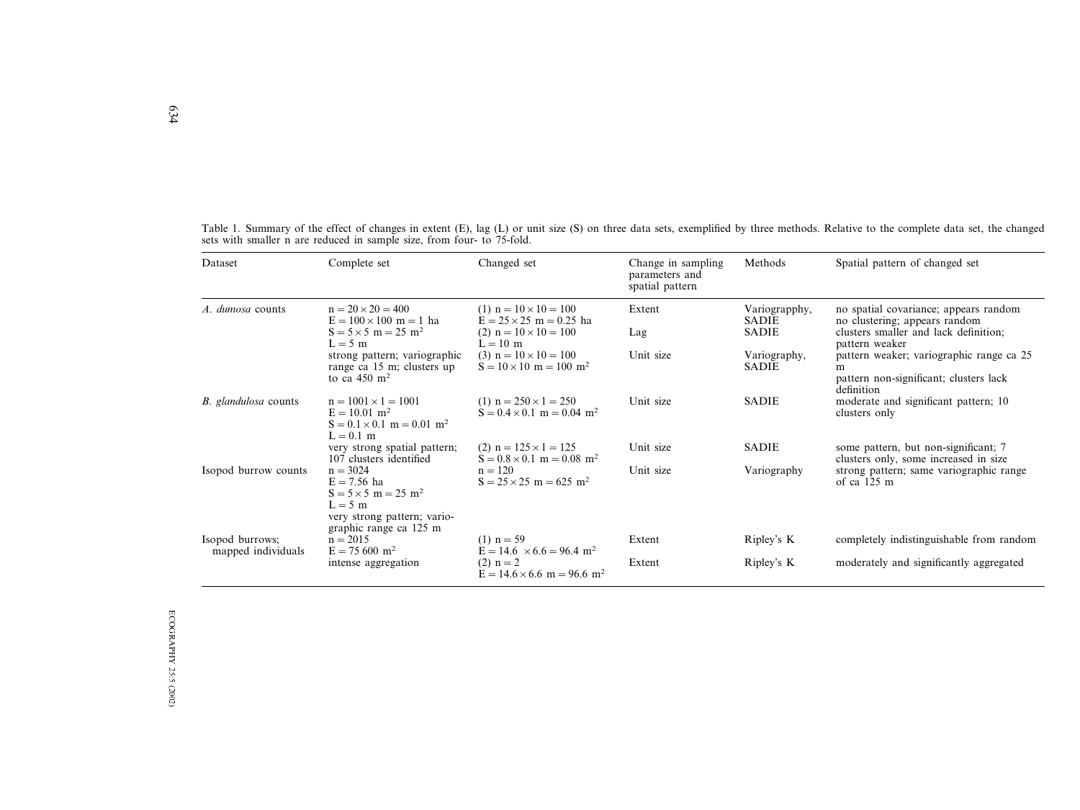| Dataset                               | Complete set                                                                                                                                | Changed set                                                                    | Change in sampling<br>parameters and<br>spatial pattern | Methods                       | Spatial pattern of changed set                                                                        |  |
|---------------------------------------|---------------------------------------------------------------------------------------------------------------------------------------------|--------------------------------------------------------------------------------|---------------------------------------------------------|-------------------------------|-------------------------------------------------------------------------------------------------------|--|
| A. dumosa counts                      | $n = 20 \times 20 = 400$<br>$E = 100 \times 100$ m = 1 ha                                                                                   | $(1)$ n = $10 \times 10 = 100$<br>$E = 25 \times 25$ m = 0.25 ha               | Extent                                                  | Variograpphy,<br><b>SADIE</b> | no spatial covariance; appears random<br>no clustering; appears random                                |  |
|                                       | $S = 5 \times 5$ m = 25 m <sup>2</sup><br>$L = 5$ m                                                                                         | $(2)$ n = $10 \times 10 = 100$<br>$L = 10$ m                                   | Lag                                                     | <b>SADIE</b>                  | clusters smaller and lack definition;<br>pattern weaker                                               |  |
|                                       | strong pattern; variographic<br>range ca 15 m; clusters up<br>to ca $450 \text{ m}^2$                                                       | $(3)$ n = $10 \times 10 = 100$<br>$S = 10 \times 10$ m = 100 m <sup>2</sup>    | Unit size                                               | Variography,<br><b>SADIE</b>  | pattern weaker; variographic range ca 25<br>m<br>pattern non-significant; clusters lack<br>definition |  |
| B. glandulosa counts                  | $n = 1001 \times 1 = 1001$<br>$E = 10.01$ m <sup>2</sup><br>$S = 0.1 \times 0.1$ m = 0.01 m <sup>2</sup><br>$L = 0.1$ m                     | (1) $n = 250 \times 1 = 250$<br>$S = 0.4 \times 0.1$ m = 0.04 m <sup>2</sup>   | Unit size                                               | <b>SADIE</b>                  | moderate and significant pattern; 10<br>clusters only                                                 |  |
|                                       | very strong spatial pattern;<br>107 clusters identified                                                                                     | $(2)$ n = $125 \times 1 = 125$<br>$S = 0.8 \times 0.1$ m = 0.08 m <sup>2</sup> | Unit size                                               | <b>SADIE</b>                  | some pattern, but non-significant; 7<br>clusters only, some increased in size                         |  |
| Isopod burrow counts                  | $n = 3024$<br>$E = 7.56$ ha<br>$S = 5 \times 5$ m = 25 m <sup>2</sup><br>$L = 5$ m<br>very strong pattern; vario-<br>graphic range ca 125 m | $n = 120$<br>$S = 25 \times 25$ m = 625 m <sup>2</sup>                         | Unit size                                               | Variography                   | strong pattern; same variographic range<br>of ca $125 \text{ m}$                                      |  |
| Isopod burrows;<br>mapped individuals | $n = 2015$<br>$E = 75,600$ m <sup>2</sup>                                                                                                   | $(1) n = 59$<br>$E = 14.6 \times 6.6 = 96.4 \text{ m}^2$                       | Extent                                                  | Ripley's K                    | completely indistinguishable from random                                                              |  |
|                                       | intense aggregation                                                                                                                         | $(2) n = 2$<br>$E = 14.6 \times 6.6$ m = 96.6 m <sup>2</sup>                   | Extent                                                  | Ripley's K                    | moderately and significantly aggregated                                                               |  |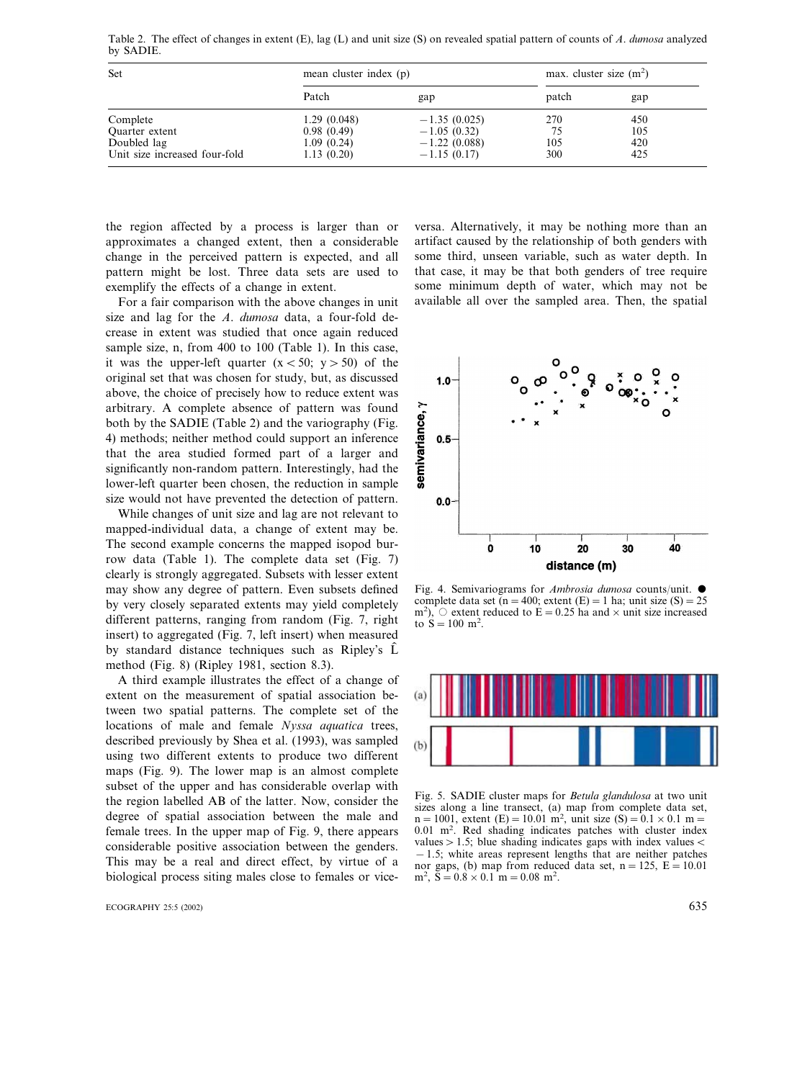| <b>Set</b>                    | mean cluster index (p) | max. cluster size $(m2)$ |       |     |  |
|-------------------------------|------------------------|--------------------------|-------|-----|--|
|                               | Patch                  | gap                      | patch | gap |  |
| Complete                      | 1.29(0.048)            | $-1.35(0.025)$           | 270   | 450 |  |
| Quarter extent                | 0.98(0.49)             | $-1.05(0.32)$            | 75    | 105 |  |
| Doubled lag                   | 1.09(0.24)             | $-1.22(0.088)$           | 105   | 420 |  |
| Unit size increased four-fold | 1.13(0.20)             | $-1.15(0.17)$            | 300   | 425 |  |

Table 2. The effect of changes in extent (E), lag (L) and unit size (S) on revealed spatial pattern of counts of *A*. *dumosa* analyzed by SADIE.

the region affected by a process is larger than or approximates a changed extent, then a considerable change in the perceived pattern is expected, and all pattern might be lost. Three data sets are used to exemplify the effects of a change in extent.

For a fair comparison with the above changes in unit size and lag for the *A*. *dumosa* data, a four-fold decrease in extent was studied that once again reduced sample size, n, from 400 to 100 (Table 1). In this case, it was the upper-left quarter  $(x < 50; y > 50)$  of the original set that was chosen for study, but, as discussed above, the choice of precisely how to reduce extent was arbitrary. A complete absence of pattern was found both by the SADIE (Table 2) and the variography (Fig. 4) methods; neither method could support an inference that the area studied formed part of a larger and significantly non-random pattern. Interestingly, had the lower-left quarter been chosen, the reduction in sample size would not have prevented the detection of pattern.

While changes of unit size and lag are not relevant to mapped-individual data, a change of extent may be. The second example concerns the mapped isopod burrow data (Table 1). The complete data set (Fig. 7) clearly is strongly aggregated. Subsets with lesser extent may show any degree of pattern. Even subsets defined by very closely separated extents may yield completely different patterns, ranging from random (Fig. 7, right insert) to aggregated (Fig. 7, left insert) when measured by standard distance techniques such as Ripley's L method (Fig. 8) (Ripley 1981, section 8.3).

A third example illustrates the effect of a change of extent on the measurement of spatial association between two spatial patterns. The complete set of the locations of male and female *Nyssa aquatica* trees, described previously by Shea et al. (1993), was sampled using two different extents to produce two different maps (Fig. 9). The lower map is an almost complete subset of the upper and has considerable overlap with the region labelled AB of the latter. Now, consider the degree of spatial association between the male and female trees. In the upper map of Fig. 9, there appears considerable positive association between the genders. This may be a real and direct effect, by virtue of a biological process siting males close to females or vice-

 $ECOGRAPHY 25:5 (2002)$  635

versa. Alternatively, it may be nothing more than an artifact caused by the relationship of both genders with some third, unseen variable, such as water depth. In that case, it may be that both genders of tree require some minimum depth of water, which may not be available all over the sampled area. Then, the spatial



Fig. 4. Semivariograms for *Ambrosia dumosa* counts/unit. complete data set  $(n=400;$  extent  $(E)=1$  ha; unit size  $(S)=25$ m<sup>2</sup>),  $\circ$  extent reduced to  $\dot{E} = 0.25$  ha and  $\times$  unit size increased to  $S = 100$  m<sup>2</sup>.



Fig. 5. SADIE cluster maps for *Betula glandulosa* at two unit sizes along a line transect, (a) map from complete data set,  $n = 1001$ , extent (E) = 10.01 m<sup>2</sup>, unit size (S) = 0.1 × 0.1 m = 0.01 m<sup>2</sup> . Red shading indicates patches with cluster index values  $>1.5$ ; blue shading indicates gaps with index values  $<$ −1.5; white areas represent lengths that are neither patches nor gaps, (b) map from reduced data set,  $n=125$ ,  $E=10.01$  $\text{m}^2$ ,  $\text{S} = 0.8 \times 0.1 \text{ m} = 0.08 \text{ m}^2$ .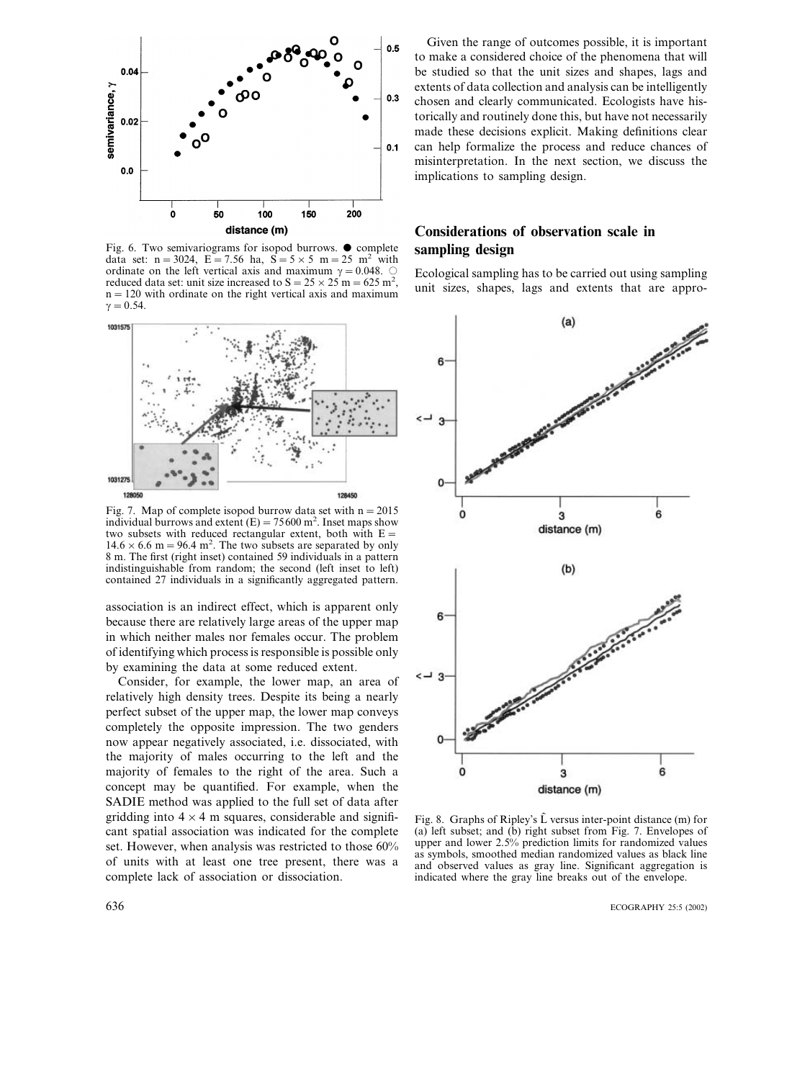

Fig. 6. Two semivariograms for isopod burrows.  $\bullet$  complete data set: n = 3024, E = 7.56 ha,  $S = 5 \times 5$  m = 25 m<sup>2</sup> with ordinate on the left vertical axis and maximum  $\gamma = 0.048$ .  $\circlearrowright$ reduced data set: unit size increased to  $S = 25 \times 25$  m = 625 m<sup>2</sup>,  $n=120$  with ordinate on the right vertical axis and maximum  $v = 0.54$ .



Fig. 7. Map of complete isopod burrow data set with  $n = 2015$ individual burrows and extent  $(E) = 75600$  m<sup>2</sup>. Inset maps show two subsets with reduced rectangular extent, both with  $E=$  $14.6 \times 6.6$  m = 96.4 m<sup>2</sup>. The two subsets are separated by only 8 m. The first (right inset) contained 59 individuals in a pattern indistinguishable from random; the second (left inset to left) contained 27 individuals in a significantly aggregated pattern.

association is an indirect effect, which is apparent only because there are relatively large areas of the upper map in which neither males nor females occur. The problem of identifying which process is responsible is possible only by examining the data at some reduced extent.

Consider, for example, the lower map, an area of relatively high density trees. Despite its being a nearly perfect subset of the upper map, the lower map conveys completely the opposite impression. The two genders now appear negatively associated, i.e. dissociated, with the majority of males occurring to the left and the majority of females to the right of the area. Such a concept may be quantified. For example, when the SADIE method was applied to the full set of data after gridding into  $4 \times 4$  m squares, considerable and significant spatial association was indicated for the complete set. However, when analysis was restricted to those 60% of units with at least one tree present, there was a complete lack of association or dissociation.

Given the range of outcomes possible, it is important to make a considered choice of the phenomena that will be studied so that the unit sizes and shapes, lags and extents of data collection and analysis can be intelligently chosen and clearly communicated. Ecologists have historically and routinely done this, but have not necessarily made these decisions explicit. Making definitions clear can help formalize the process and reduce chances of misinterpretation. In the next section, we discuss the implications to sampling design.

# **Considerations of observation scale in sampling design**

Ecological sampling has to be carried out using sampling unit sizes, shapes, lags and extents that are appro-



Fig. 8. Graphs of Ripley's  $\hat{L}$  versus inter-point distance (m) for (a) left subset; and (b) right subset from Fig. 7. Envelopes of upper and lower 2.5% prediction limits for randomized values as symbols, smoothed median randomized values as black line and observed values as gray line. Significant aggregation is indicated where the gray line breaks out of the envelope.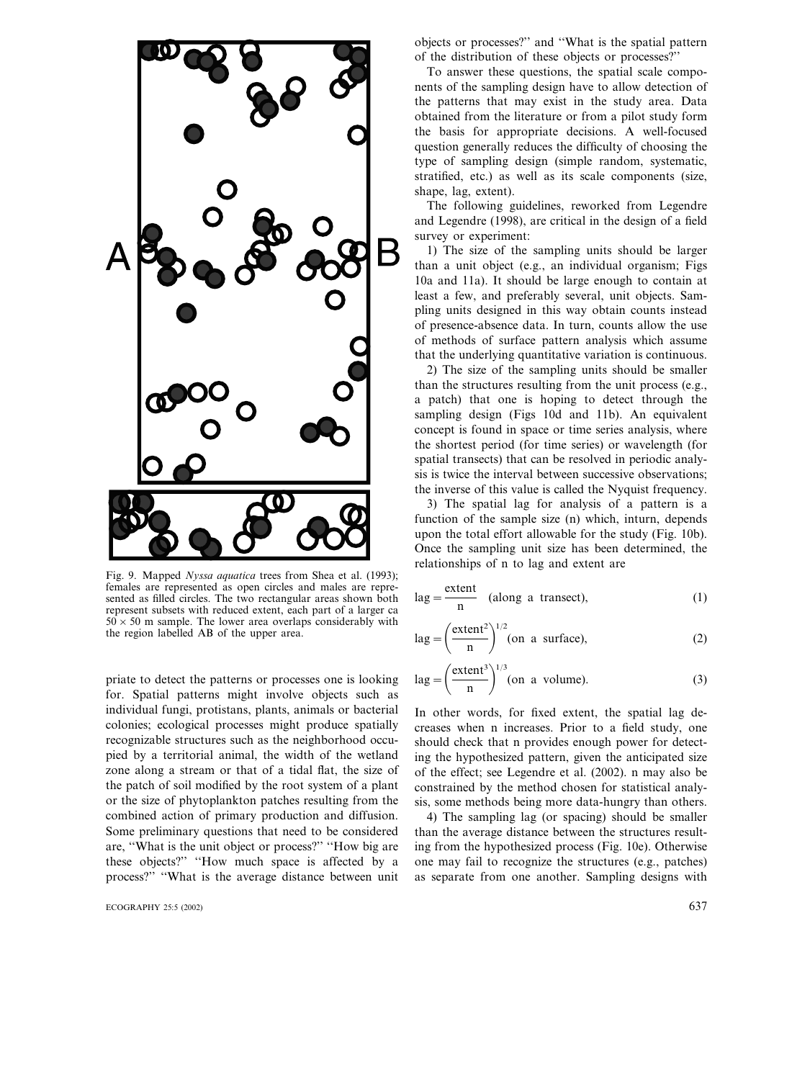

Fig. 9. Mapped *Nyssa aquatica* trees from Shea et al. (1993); females are represented as open circles and males are represented as filled circles. The two rectangular areas shown both represent subsets with reduced extent, each part of a larger ca  $50 \times 50$  m sample. The lower area overlaps considerably with the region labelled AB of the upper area.

priate to detect the patterns or processes one is looking for. Spatial patterns might involve objects such as individual fungi, protistans, plants, animals or bacterial colonies; ecological processes might produce spatially recognizable structures such as the neighborhood occupied by a territorial animal, the width of the wetland zone along a stream or that of a tidal flat, the size of the patch of soil modified by the root system of a plant or the size of phytoplankton patches resulting from the combined action of primary production and diffusion. Some preliminary questions that need to be considered are, ''What is the unit object or process?'' ''How big are these objects?'' ''How much space is affected by a process?'' ''What is the average distance between unit

 $ECO$ GRAPHY 25:5 (2002) 637

objects or processes?'' and ''What is the spatial pattern of the distribution of these objects or processes?''

To answer these questions, the spatial scale components of the sampling design have to allow detection of the patterns that may exist in the study area. Data obtained from the literature or from a pilot study form the basis for appropriate decisions. A well-focused question generally reduces the difficulty of choosing the type of sampling design (simple random, systematic, stratified, etc.) as well as its scale components (size, shape, lag, extent).

The following guidelines, reworked from Legendre and Legendre (1998), are critical in the design of a field survey or experiment:

1) The size of the sampling units should be larger than a unit object (e.g., an individual organism; Figs 10a and 11a). It should be large enough to contain at least a few, and preferably several, unit objects. Sampling units designed in this way obtain counts instead of presence-absence data. In turn, counts allow the use of methods of surface pattern analysis which assume that the underlying quantitative variation is continuous.

2) The size of the sampling units should be smaller than the structures resulting from the unit process (e.g., a patch) that one is hoping to detect through the sampling design (Figs 10d and 11b). An equivalent concept is found in space or time series analysis, where the shortest period (for time series) or wavelength (for spatial transects) that can be resolved in periodic analysis is twice the interval between successive observations; the inverse of this value is called the Nyquist frequency.

3) The spatial lag for analysis of a pattern is a function of the sample size (n) which, inturn, depends upon the total effort allowable for the study (Fig. 10b). Once the sampling unit size has been determined, the relationships of n to lag and extent are

$$
lag = \frac{extent}{n} \quad (along a transect), \tag{1}
$$

$$
lag = \left(\frac{\text{extent}^2}{n}\right)^{1/2} \text{(on a surface)},\tag{2}
$$

$$
\log = \left(\frac{\text{extent}^3}{n}\right)^{1/3} \text{(on a volume).} \tag{3}
$$

In other words, for fixed extent, the spatial lag decreases when n increases. Prior to a field study, one should check that n provides enough power for detecting the hypothesized pattern, given the anticipated size of the effect; see Legendre et al. (2002). n may also be constrained by the method chosen for statistical analysis, some methods being more data-hungry than others.

4) The sampling lag (or spacing) should be smaller than the average distance between the structures resulting from the hypothesized process (Fig. 10e). Otherwise one may fail to recognize the structures (e.g., patches) as separate from one another. Sampling designs with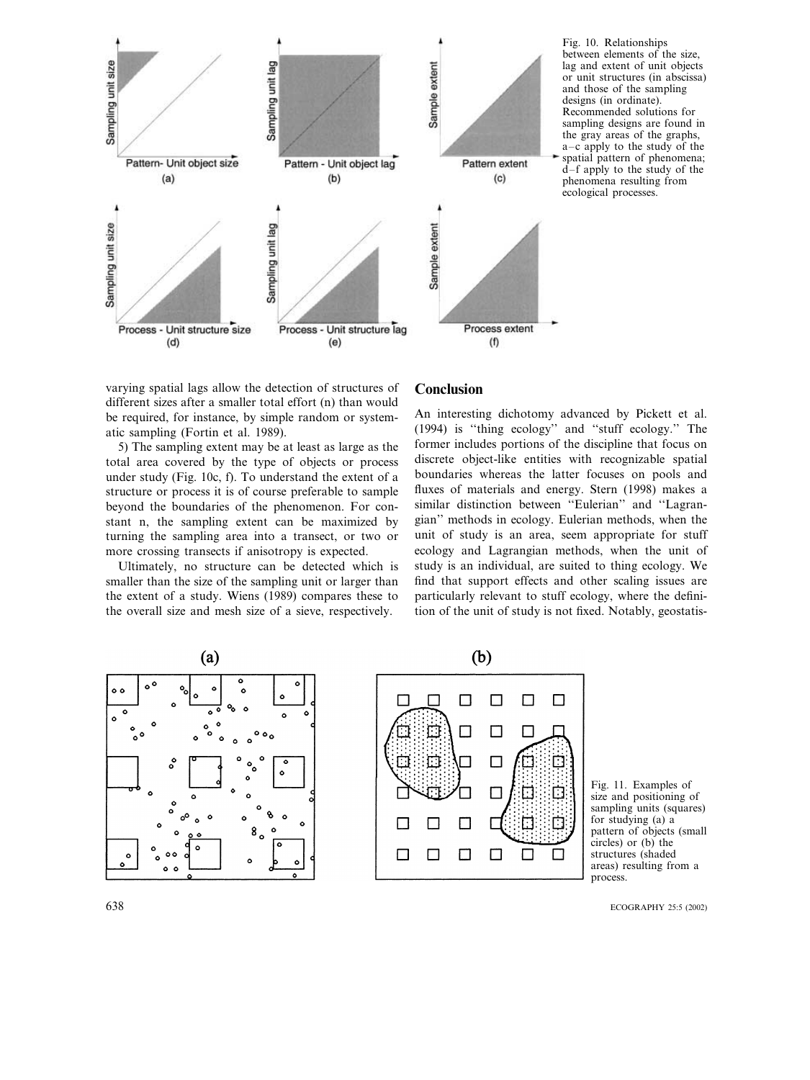

Fig. 10. Relationships between elements of the size, lag and extent of unit objects or unit structures (in abscissa) and those of the sampling designs (in ordinate). Recommended solutions for sampling designs are found in the gray areas of the graphs, a–c apply to the study of the spatial pattern of phenomena; d–f apply to the study of the phenomena resulting from ecological processes.

varying spatial lags allow the detection of structures of different sizes after a smaller total effort (n) than would be required, for instance, by simple random or systematic sampling (Fortin et al. 1989).

5) The sampling extent may be at least as large as the total area covered by the type of objects or process under study (Fig. 10c, f). To understand the extent of a structure or process it is of course preferable to sample beyond the boundaries of the phenomenon. For constant n, the sampling extent can be maximized by turning the sampling area into a transect, or two or more crossing transects if anisotropy is expected.

Ultimately, no structure can be detected which is smaller than the size of the sampling unit or larger than the extent of a study. Wiens (1989) compares these to the overall size and mesh size of a sieve, respectively.

# **Conclusion**

An interesting dichotomy advanced by Pickett et al. (1994) is ''thing ecology'' and ''stuff ecology.'' The former includes portions of the discipline that focus on discrete object-like entities with recognizable spatial boundaries whereas the latter focuses on pools and fluxes of materials and energy. Stern (1998) makes a similar distinction between "Eulerian" and "Lagrangian'' methods in ecology. Eulerian methods, when the unit of study is an area, seem appropriate for stuff ecology and Lagrangian methods, when the unit of study is an individual, are suited to thing ecology. We find that support effects and other scaling issues are particularly relevant to stuff ecology, where the definition of the unit of study is not fixed. Notably, geostatis-



Fig. 11. Examples of size and positioning of sampling units (squares) for studying (a) a pattern of objects (small circles) or (b) the structures (shaded areas) resulting from a process.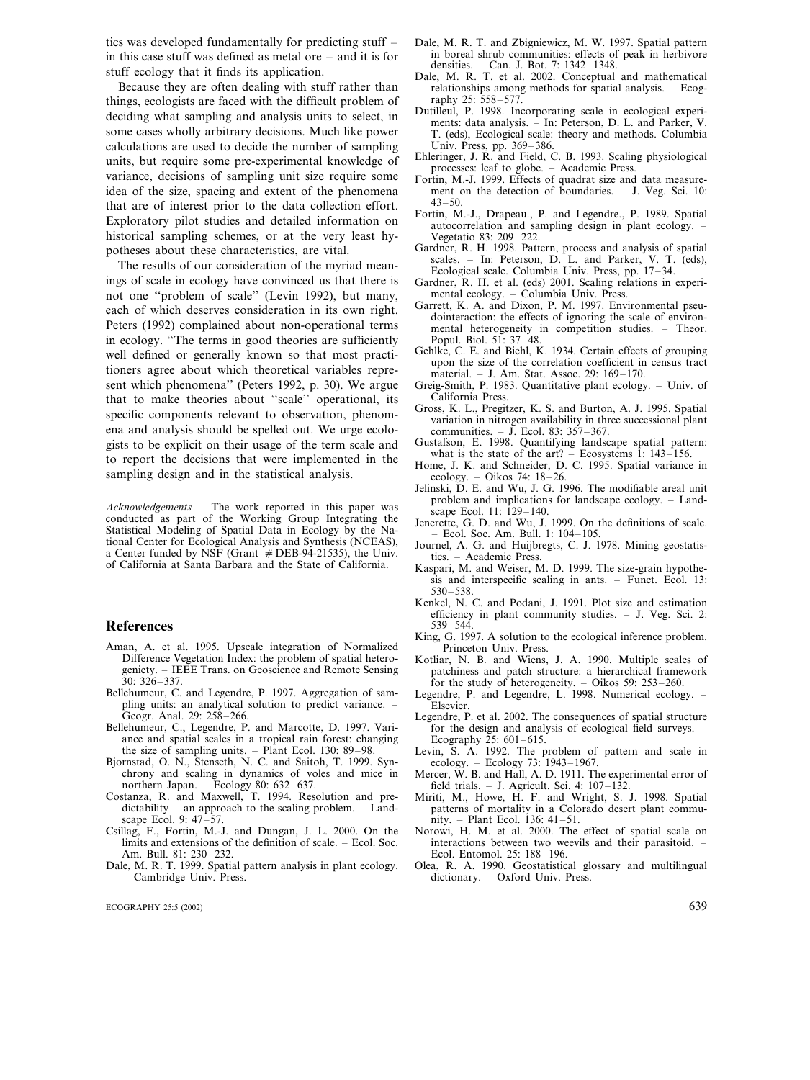tics was developed fundamentally for predicting stuff – in this case stuff was defined as metal ore – and it is for stuff ecology that it finds its application.

Because they are often dealing with stuff rather than things, ecologists are faced with the difficult problem of deciding what sampling and analysis units to select, in some cases wholly arbitrary decisions. Much like power calculations are used to decide the number of sampling units, but require some pre-experimental knowledge of variance, decisions of sampling unit size require some idea of the size, spacing and extent of the phenomena that are of interest prior to the data collection effort. Exploratory pilot studies and detailed information on historical sampling schemes, or at the very least hypotheses about these characteristics, are vital.

The results of our consideration of the myriad meanings of scale in ecology have convinced us that there is not one ''problem of scale'' (Levin 1992), but many, each of which deserves consideration in its own right. Peters (1992) complained about non-operational terms in ecology. ''The terms in good theories are sufficiently well defined or generally known so that most practitioners agree about which theoretical variables represent which phenomena'' (Peters 1992, p. 30). We argue that to make theories about ''scale'' operational, its specific components relevant to observation, phenomena and analysis should be spelled out. We urge ecologists to be explicit on their usage of the term scale and to report the decisions that were implemented in the sampling design and in the statistical analysis.

*Acknowledgements* – The work reported in this paper was conducted as part of the Working Group Integrating the Statistical Modeling of Spatial Data in Ecology by the National Center for Ecological Analysis and Synthesis (NCEAS), a Center funded by NSF (Grant  $#$  DEB-94-21535), the Univ. of California at Santa Barbara and the State of California.

# **References**

- Aman, A. et al. 1995. Upscale integration of Normalized Difference Vegetation Index: the problem of spatial heterogeniety. – IEEE Trans. on Geoscience and Remote Sensing 30: 326–337.
- Bellehumeur, C. and Legendre, P. 1997. Aggregation of sampling units: an analytical solution to predict variance. – Geogr. Anal. 29: 258–266.
- Bellehumeur, C., Legendre, P. and Marcotte, D. 1997. Variance and spatial scales in a tropical rain forest: changing the size of sampling units. – Plant Ecol. 130: 89–98.
- Bjornstad, O. N., Stenseth, N. C. and Saitoh, T. 1999. Synchrony and scaling in dynamics of voles and mice in northern Japan. – Ecology 80: 632–637.
- Costanza, R. and Maxwell, T. 1994. Resolution and predictability – an approach to the scaling problem. – Landscape Ecol. 9: 47–57.
- Csillag, F., Fortin, M.-J. and Dungan, J. L. 2000. On the limits and extensions of the definition of scale. – Ecol. Soc. Am. Bull. 81: 230–232.
- Dale, M. R. T. 1999. Spatial pattern analysis in plant ecology. – Cambridge Univ. Press.
- Dale, M. R. T. and Zbigniewicz, M. W. 1997. Spatial pattern in boreal shrub communities: effects of peak in herbivore densities. – Can. J. Bot. 7: 1342–1348.
- Dale, M. R. T. et al. 2002. Conceptual and mathematical relationships among methods for spatial analysis. – Ecography 25: 558–577.
- Dutilleul, P. 1998. Incorporating scale in ecological experiments: data analysis. – In: Peterson, D. L. and Parker, V. T. (eds), Ecological scale: theory and methods. Columbia Univ. Press, pp. 369–386.
- Ehleringer, J. R. and Field, C. B. 1993. Scaling physiological processes: leaf to globe. – Academic Press.
- Fortin, M.-J. 1999. Effects of quadrat size and data measurement on the detection of boundaries. – J. Veg. Sci. 10:  $43 - 50$ .
- Fortin, M.-J., Drapeau., P. and Legendre., P. 1989. Spatial autocorrelation and sampling design in plant ecology. – Vegetatio 83: 209–222.
- Gardner, R. H. 1998. Pattern, process and analysis of spatial scales. – In: Peterson, D. L. and Parker, V. T. (eds), Ecological scale. Columbia Univ. Press, pp. 17–34.
- Gardner, R. H. et al. (eds) 2001. Scaling relations in experimental ecology. – Columbia Univ. Press.
- Garrett, K. A. and Dixon, P. M. 1997. Environmental pseudointeraction: the effects of ignoring the scale of environmental heterogeneity in competition studies. – Theor. Popul. Biol. 51: 37–48.
- Gehlke, C. E. and Biehl, K. 1934. Certain effects of grouping upon the size of the correlation coefficient in census tract material. – J. Am. Stat. Assoc. 29: 169–170.
- Greig-Smith, P. 1983. Quantitative plant ecology. Univ. of California Press.
- Gross, K. L., Pregitzer, K. S. and Burton, A. J. 1995. Spatial variation in nitrogen availability in three successional plant communities. – J. Ecol. 83:  $357-367$ .
- Gustafson, E. 1998. Quantifying landscape spatial pattern: what is the state of the art?  $-$  Ecosystems 1: 143–156.
- Home, J. K. and Schneider, D. C. 1995. Spatial variance in ecology. Oikos 74: 18–26. - Oikos 74: 18–26.
- Jelinski, D. E. and Wu, J. G. 1996. The modifiable areal unit problem and implications for landscape ecology. – Landscape Ecol. 11: 129–140.
- Jenerette, G. D. and Wu, J. 1999. On the definitions of scale. – Ecol. Soc. Am. Bull. 1: 104–105.
- Journel, A. G. and Huijbregts, C. J. 1978. Mining geostatistics. – Academic Press.
- Kaspari, M. and Weiser, M. D. 1999. The size-grain hypothesis and interspecific scaling in ants. – Funct. Ecol. 13: 530–538.
- Kenkel, N. C. and Podani, J. 1991. Plot size and estimation efficiency in plant community studies. – J. Veg. Sci. 2: 539–544.
- King, G. 1997. A solution to the ecological inference problem.  $\sigma$  Princeton Univ. Press.
- Kotliar, N. B. and Wiens, J. A. 1990. Multiple scales of patchiness and patch structure: a hierarchical framework for the study of heterogeneity. – Oikos 59:  $253-260$ .
- Legendre, P. and Legendre, L. 1998. Numerical ecology. Elsevier.
- Legendre, P. et al. 2002. The consequences of spatial structure for the design and analysis of ecological field surveys. – Ecography  $25: 601 - 615$ .
- Levin, S. A. 1992. The problem of pattern and scale in ecology. – Ecology 73: 1943–1967.
- Mercer, W. B. and Hall, A. D. 1911. The experimental error of field trials. – J. Agricult. Sci. 4: 107–132.
- Miriti, M., Howe, H. F. and Wright, S. J. 1998. Spatial patterns of mortality in a Colorado desert plant community. – Plant Ecol. 136: 41–51.
- Norowi, H. M. et al. 2000. The effect of spatial scale on interactions between two weevils and their parasitoid. – Ecol. Entomol. 25: 188–196.
- Olea, R. A. 1990. Geostatistical glossary and multilingual dictionary. – Oxford Univ. Press.